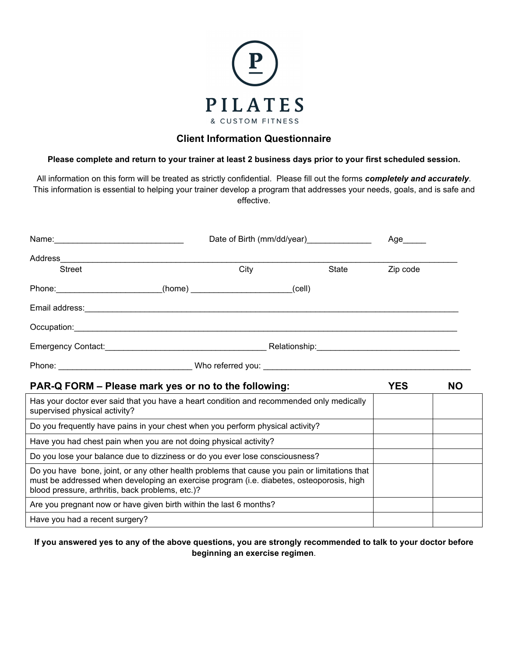

### **Client Information Questionnaire**

#### **Please complete and return to your trainer at least 2 business days prior to your first scheduled session.**

All information on this form will be treated as strictly confidential. Please fill out the forms *completely and accurately*. This information is essential to helping your trainer develop a program that addresses your needs, goals, and is safe and effective.

| Name: 2008. 2008. 2010. 2010. 2010. 2010. 2010. 2010. 2010. 2010. 2011. 2012. 2014. 2016. 2017. 2017. 2017. 20                                                                                                                                | Date of Birth (mm/dd/year) |      | Age   |          |           |
|-----------------------------------------------------------------------------------------------------------------------------------------------------------------------------------------------------------------------------------------------|----------------------------|------|-------|----------|-----------|
| Address<br><b>Street</b>                                                                                                                                                                                                                      |                            | City | State | Zip code |           |
| Phone: (cell)                                                                                                                                                                                                                                 |                            |      |       |          |           |
|                                                                                                                                                                                                                                               |                            |      |       |          |           |
|                                                                                                                                                                                                                                               |                            |      |       |          |           |
|                                                                                                                                                                                                                                               |                            |      |       |          |           |
|                                                                                                                                                                                                                                               |                            |      |       |          |           |
| PAR-Q FORM – Please mark yes or no to the following:                                                                                                                                                                                          |                            |      |       |          | <b>NO</b> |
| Has your doctor ever said that you have a heart condition and recommended only medically<br>supervised physical activity?                                                                                                                     |                            |      |       |          |           |
| Do you frequently have pains in your chest when you perform physical activity?                                                                                                                                                                |                            |      |       |          |           |
| Have you had chest pain when you are not doing physical activity?                                                                                                                                                                             |                            |      |       |          |           |
| Do you lose your balance due to dizziness or do you ever lose consciousness?                                                                                                                                                                  |                            |      |       |          |           |
| Do you have bone, joint, or any other health problems that cause you pain or limitations that<br>must be addressed when developing an exercise program (i.e. diabetes, osteoporosis, high<br>blood pressure, arthritis, back problems, etc.)? |                            |      |       |          |           |
| Are you pregnant now or have given birth within the last 6 months?                                                                                                                                                                            |                            |      |       |          |           |
| Have you had a recent surgery?                                                                                                                                                                                                                |                            |      |       |          |           |

#### **If you answered yes to any of the above questions, you are strongly recommended to talk to your doctor before beginning an exercise regimen**.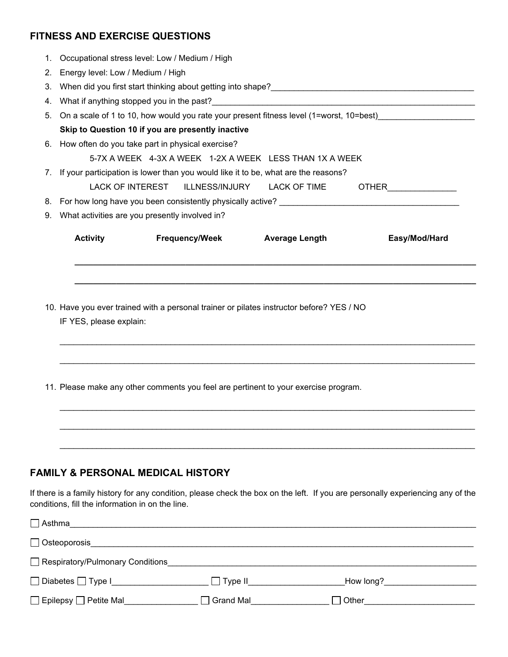## **FITNESS AND EXERCISE QUESTIONS**

| 1. Occupational stress level: Low / Medium / High                                          |                                                                                                                                                                                                                                                                                                                                                         |  |  |  |  |  |
|--------------------------------------------------------------------------------------------|---------------------------------------------------------------------------------------------------------------------------------------------------------------------------------------------------------------------------------------------------------------------------------------------------------------------------------------------------------|--|--|--|--|--|
|                                                                                            |                                                                                                                                                                                                                                                                                                                                                         |  |  |  |  |  |
|                                                                                            |                                                                                                                                                                                                                                                                                                                                                         |  |  |  |  |  |
|                                                                                            |                                                                                                                                                                                                                                                                                                                                                         |  |  |  |  |  |
| 5. On a scale of 1 to 10, how would you rate your present fitness level (1=worst, 10=best) |                                                                                                                                                                                                                                                                                                                                                         |  |  |  |  |  |
|                                                                                            |                                                                                                                                                                                                                                                                                                                                                         |  |  |  |  |  |
|                                                                                            |                                                                                                                                                                                                                                                                                                                                                         |  |  |  |  |  |
| 5-7X A WEEK 4-3X A WEEK 1-2X A WEEK LESS THAN 1X A WEEK                                    |                                                                                                                                                                                                                                                                                                                                                         |  |  |  |  |  |
| 7. If your participation is lower than you would like it to be, what are the reasons?      |                                                                                                                                                                                                                                                                                                                                                         |  |  |  |  |  |
|                                                                                            |                                                                                                                                                                                                                                                                                                                                                         |  |  |  |  |  |
|                                                                                            |                                                                                                                                                                                                                                                                                                                                                         |  |  |  |  |  |
|                                                                                            |                                                                                                                                                                                                                                                                                                                                                         |  |  |  |  |  |
| <b>Activity Activity</b><br>Frequency/Week Average Length<br>Easy/Mod/Hard                 |                                                                                                                                                                                                                                                                                                                                                         |  |  |  |  |  |
|                                                                                            |                                                                                                                                                                                                                                                                                                                                                         |  |  |  |  |  |
|                                                                                            |                                                                                                                                                                                                                                                                                                                                                         |  |  |  |  |  |
|                                                                                            |                                                                                                                                                                                                                                                                                                                                                         |  |  |  |  |  |
| IF YES, please explain:                                                                    |                                                                                                                                                                                                                                                                                                                                                         |  |  |  |  |  |
|                                                                                            | 2. Energy level: Low / Medium / High<br>Skip to Question 10 if you are presently inactive<br>6. How often do you take part in physical exercise?<br>LACK OF INTEREST ILLNESS/INJURY LACK OF TIME OTHER<br>9. What activities are you presently involved in?<br>10. Have you ever trained with a personal trainer or pilates instructor before? YES / NO |  |  |  |  |  |

 $\mathcal{L}_\mathcal{L} = \{ \mathcal{L}_\mathcal{L} = \{ \mathcal{L}_\mathcal{L} = \{ \mathcal{L}_\mathcal{L} = \{ \mathcal{L}_\mathcal{L} = \{ \mathcal{L}_\mathcal{L} = \{ \mathcal{L}_\mathcal{L} = \{ \mathcal{L}_\mathcal{L} = \{ \mathcal{L}_\mathcal{L} = \{ \mathcal{L}_\mathcal{L} = \{ \mathcal{L}_\mathcal{L} = \{ \mathcal{L}_\mathcal{L} = \{ \mathcal{L}_\mathcal{L} = \{ \mathcal{L}_\mathcal{L} = \{ \mathcal{L}_\mathcal{$ 

 $\mathcal{L}_\mathcal{L} = \{ \mathcal{L}_\mathcal{L} = \{ \mathcal{L}_\mathcal{L} = \{ \mathcal{L}_\mathcal{L} = \{ \mathcal{L}_\mathcal{L} = \{ \mathcal{L}_\mathcal{L} = \{ \mathcal{L}_\mathcal{L} = \{ \mathcal{L}_\mathcal{L} = \{ \mathcal{L}_\mathcal{L} = \{ \mathcal{L}_\mathcal{L} = \{ \mathcal{L}_\mathcal{L} = \{ \mathcal{L}_\mathcal{L} = \{ \mathcal{L}_\mathcal{L} = \{ \mathcal{L}_\mathcal{L} = \{ \mathcal{L}_\mathcal{$ 

\_\_\_\_\_\_\_\_\_\_\_\_\_\_\_\_\_\_\_\_\_\_\_\_\_\_\_\_\_\_\_\_\_\_\_\_\_\_\_\_\_\_\_\_\_\_\_\_\_\_\_\_\_\_\_\_\_\_\_\_\_\_\_\_\_\_\_\_\_\_\_\_\_\_\_\_\_\_\_\_\_\_\_\_\_\_\_\_\_\_

\_\_\_\_\_\_\_\_\_\_\_\_\_\_\_\_\_\_\_\_\_\_\_\_\_\_\_\_\_\_\_\_\_\_\_\_\_\_\_\_\_\_\_\_\_\_\_\_\_\_\_\_\_\_\_\_\_\_\_\_\_\_\_\_\_\_\_\_\_\_\_\_\_\_\_\_\_\_\_\_\_\_\_\_\_\_\_\_\_\_

 $\mathcal{L}_\mathcal{L} = \{ \mathcal{L}_\mathcal{L} = \{ \mathcal{L}_\mathcal{L} = \{ \mathcal{L}_\mathcal{L} = \{ \mathcal{L}_\mathcal{L} = \{ \mathcal{L}_\mathcal{L} = \{ \mathcal{L}_\mathcal{L} = \{ \mathcal{L}_\mathcal{L} = \{ \mathcal{L}_\mathcal{L} = \{ \mathcal{L}_\mathcal{L} = \{ \mathcal{L}_\mathcal{L} = \{ \mathcal{L}_\mathcal{L} = \{ \mathcal{L}_\mathcal{L} = \{ \mathcal{L}_\mathcal{L} = \{ \mathcal{L}_\mathcal{$ 

11. Please make any other comments you feel are pertinent to your exercise program.

### **FAMILY & PERSONAL MEDICAL HISTORY**

If there is a family history for any condition, please check the box on the left. If you are personally experiencing any of the conditions, fill the information in on the line.

| $\Box$ Asthma                    |                |           |  |
|----------------------------------|----------------|-----------|--|
| $\Box$ Osteoporosis              |                |           |  |
| Respiratory/Pulmonary Conditions |                |           |  |
| □ Diabetes □ Type I_________     | $\Box$ Type II | How long? |  |
| □ Epilepsy □ Petite Mal          | Grand Mal      | Other     |  |